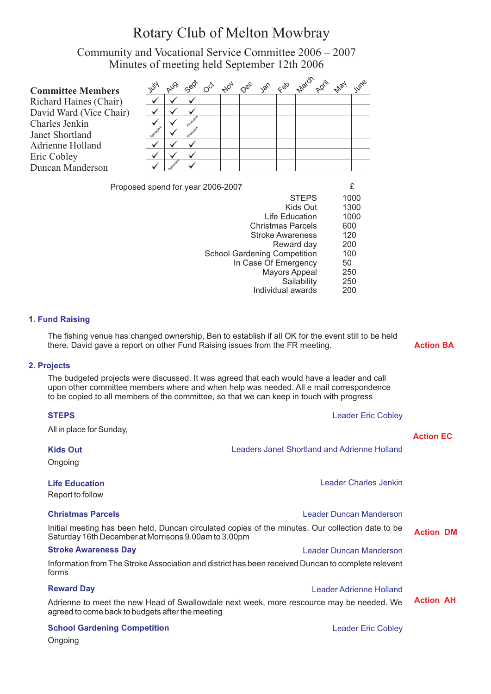# Rotary Club of Melton Mowbray

Community and Vocational Service Committee 2006 – 2007 Minutes of meeting held September 12th 2006

| $z^{\prime}$ |          |            |  |  |  | whe                                   |
|--------------|----------|------------|--|--|--|---------------------------------------|
|              |          |            |  |  |  |                                       |
|              |          |            |  |  |  |                                       |
|              |          |            |  |  |  |                                       |
|              |          |            |  |  |  |                                       |
|              |          |            |  |  |  |                                       |
|              |          |            |  |  |  |                                       |
|              |          |            |  |  |  |                                       |
|              | nologies | <b>AUS</b> |  |  |  | Sep 0 the 0ec ise 1sep march 2011 may |

Proposed spend for year 2006-2007 **EXECUTE:** 

| <b>STEPS</b>                        | 1000 |
|-------------------------------------|------|
| Kids Out                            | 1300 |
| Life Education                      | 1000 |
| <b>Christmas Parcels</b>            | 600  |
| <b>Stroke Awareness</b>             | 120  |
| Reward day                          | 200  |
| <b>School Gardening Competition</b> | 100  |
| In Case Of Emergency                | 50   |
| <b>Mayors Appeal</b>                | 250  |
| Sailability                         | 250  |
| Individual awards                   | 200  |
|                                     |      |

#### **1. Fund Raising**

The fishing venue has changed ownership, Ben to establish if all OK for the event still to be held there. David gave a report on other Fund Raising issues from the FR meeting.

# **Action BA**

#### **2. Projects**

The budgeted projects were discussed. It was agreed that each would have a leader and call upon other committee members where and when help was needed. All e mail correspondence to be copied to all members of the committee, so that we can keep in touch with progress

| <b>STEPS</b><br>All in place for Sunday,             | <b>Leader Eric Cobley</b>                                                                          |                  |
|------------------------------------------------------|----------------------------------------------------------------------------------------------------|------------------|
| <b>Kids Out</b><br>Ongoing                           | Leaders Janet Shortland and Adrienne Holland                                                       | <b>Action EC</b> |
| <b>Life Education</b><br>Report to follow            | Leader Charles Jenkin                                                                              |                  |
| <b>Christmas Parcels</b>                             | Leader Duncan Manderson                                                                            |                  |
| Saturday 16th December at Morrisons 9.00am to 3.00pm | Initial meeting has been held, Duncan circulated copies of the minutes. Our collection date to be  | <b>Action DM</b> |
| <b>Stroke Awareness Day</b>                          | Leader Duncan Manderson                                                                            |                  |
| forms                                                | Information from The Stroke Association and district has been received Duncan to complete relevent |                  |
| <b>Reward Day</b>                                    | Leader Adrienne Holland                                                                            |                  |
| agreed to come back to budgets after the meeting     | Adrienne to meet the new Head of Swallowdale next week, more rescource may be needed. We           | <b>Action AH</b> |
| <b>School Gardening Competition</b>                  | <b>Leader Eric Cobley</b>                                                                          |                  |
|                                                      |                                                                                                    |                  |

Ongoing